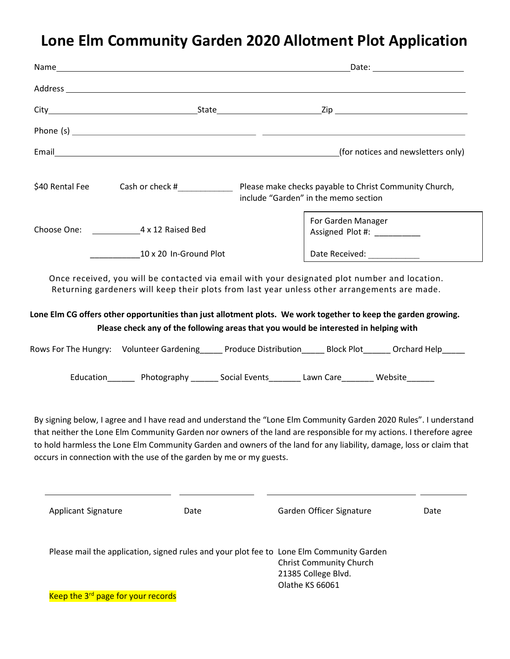# Lone Elm Community Garden 2020 Allotment Plot Application

| Address <b>contract to the contract of the contract of the contract of the contract of the contract of the contract of the contract of the contract of the contract of the contract of the contract of the contract of the contr</b>                                                                                                                                                                                                                                                                                                                                                                                                                                                                                                               |                                      |                                                    |      |
|----------------------------------------------------------------------------------------------------------------------------------------------------------------------------------------------------------------------------------------------------------------------------------------------------------------------------------------------------------------------------------------------------------------------------------------------------------------------------------------------------------------------------------------------------------------------------------------------------------------------------------------------------------------------------------------------------------------------------------------------------|--------------------------------------|----------------------------------------------------|------|
|                                                                                                                                                                                                                                                                                                                                                                                                                                                                                                                                                                                                                                                                                                                                                    |                                      |                                                    |      |
|                                                                                                                                                                                                                                                                                                                                                                                                                                                                                                                                                                                                                                                                                                                                                    |                                      |                                                    |      |
|                                                                                                                                                                                                                                                                                                                                                                                                                                                                                                                                                                                                                                                                                                                                                    |                                      |                                                    |      |
| \$40 Rental Fee                                                                                                                                                                                                                                                                                                                                                                                                                                                                                                                                                                                                                                                                                                                                    | include "Garden" in the memo section |                                                    |      |
|                                                                                                                                                                                                                                                                                                                                                                                                                                                                                                                                                                                                                                                                                                                                                    |                                      | For Garden Manager<br>Assigned Plot #: ___________ |      |
| 10 x 20 In-Ground Plot                                                                                                                                                                                                                                                                                                                                                                                                                                                                                                                                                                                                                                                                                                                             |                                      |                                                    |      |
| Please check any of the following areas that you would be interested in helping with<br>Rows For The Hungry: Volunteer Gardening _____ Produce Distribution _____ Block Plot _____ Orchard Help _____<br>Education_________ Photography ________ Social Events_________ Lawn Care________ Website_______<br>By signing below, I agree and I have read and understand the "Lone Elm Community Garden 2020 Rules". I understand<br>that neither the Lone Elm Community Garden nor owners of the land are responsible for my actions. I therefore agree<br>to hold harmless the Lone Elm Community Garden and owners of the land for any liability, damage, loss or claim that<br>occurs in connection with the use of the garden by me or my guests. |                                      |                                                    |      |
| <b>Applicant Signature</b>                                                                                                                                                                                                                                                                                                                                                                                                                                                                                                                                                                                                                                                                                                                         | Date                                 | Garden Officer Signature                           | Date |
| Please mail the application, signed rules and your plot fee to Lone Elm Community Garden<br><b>Christ Community Church</b><br>21385 College Blvd.<br>Olathe KS 66061<br>Keep the 3 <sup>rd</sup> page for your records                                                                                                                                                                                                                                                                                                                                                                                                                                                                                                                             |                                      |                                                    |      |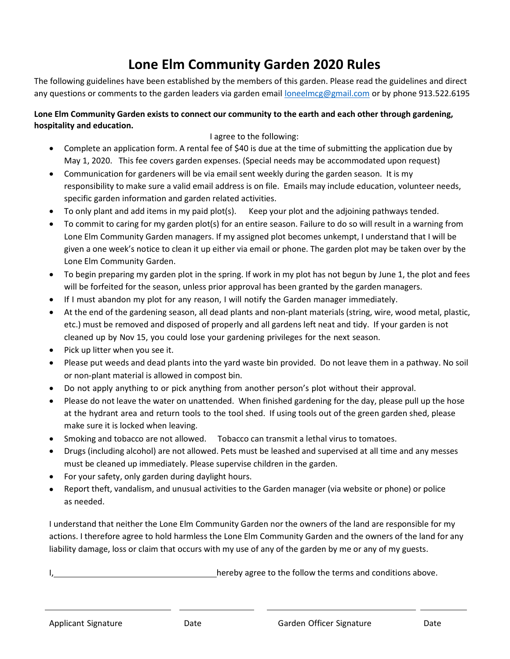### Lone Elm Community Garden 2020 Rules

The following guidelines have been established by the members of this garden. Please read the guidelines and direct any questions or comments to the garden leaders via garden email loneelmcg@gmail.com or by phone 913.522.6195

#### Lone Elm Community Garden exists to connect our community to the earth and each other through gardening, hospitality and education.

#### I agree to the following:

- Complete an application form. A rental fee of \$40 is due at the time of submitting the application due by May 1, 2020. This fee covers garden expenses. (Special needs may be accommodated upon request)
- Communication for gardeners will be via email sent weekly during the garden season. It is my responsibility to make sure a valid email address is on file. Emails may include education, volunteer needs, specific garden information and garden related activities.
- To only plant and add items in my paid plot(s). Keep your plot and the adjoining pathways tended.
- To commit to caring for my garden plot(s) for an entire season. Failure to do so will result in a warning from Lone Elm Community Garden managers. If my assigned plot becomes unkempt, I understand that I will be given a one week's notice to clean it up either via email or phone. The garden plot may be taken over by the Lone Elm Community Garden.
- To begin preparing my garden plot in the spring. If work in my plot has not begun by June 1, the plot and fees will be forfeited for the season, unless prior approval has been granted by the garden managers.
- If I must abandon my plot for any reason, I will notify the Garden manager immediately.
- At the end of the gardening season, all dead plants and non-plant materials (string, wire, wood metal, plastic, etc.) must be removed and disposed of properly and all gardens left neat and tidy. If your garden is not cleaned up by Nov 15, you could lose your gardening privileges for the next season.
- Pick up litter when you see it.
- Please put weeds and dead plants into the yard waste bin provided. Do not leave them in a pathway. No soil or non-plant material is allowed in compost bin.
- Do not apply anything to or pick anything from another person's plot without their approval.
- Please do not leave the water on unattended. When finished gardening for the day, please pull up the hose at the hydrant area and return tools to the tool shed. If using tools out of the green garden shed, please make sure it is locked when leaving.
- Smoking and tobacco are not allowed. Tobacco can transmit a lethal virus to tomatoes.
- Drugs (including alcohol) are not allowed. Pets must be leashed and supervised at all time and any messes must be cleaned up immediately. Please supervise children in the garden.
- For your safety, only garden during daylight hours.
- Report theft, vandalism, and unusual activities to the Garden manager (via website or phone) or police as needed.

I understand that neither the Lone Elm Community Garden nor the owners of the land are responsible for my actions. I therefore agree to hold harmless the Lone Elm Community Garden and the owners of the land for any liability damage, loss or claim that occurs with my use of any of the garden by me or any of my guests.

hereby agree to the follow the terms and conditions above.